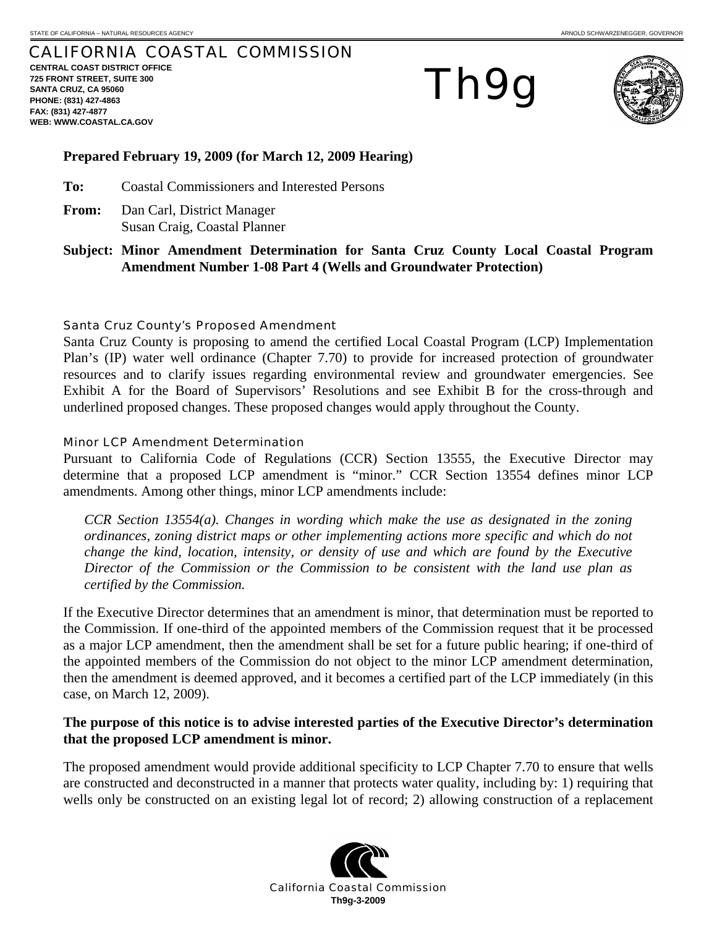# CALIFORNIA COASTAL COMMISSION

**CENTRAL COAST DISTRICT OFFICE 725 FRONT STREET, SUITE 300 SANTA CRUZ, CA 95060 PHONE: (831) 427-4863 FAX: (831) 427-4877 WEB: WWW.COASTAL.CA.GOV**

Th9g



# **Prepared February 19, 2009 (for March 12, 2009 Hearing)**

**To:** Coastal Commissioners and Interested Persons

- **From:** Dan Carl, District Manager Susan Craig, Coastal Planner
- **Subject: Minor Amendment Determination for Santa Cruz County Local Coastal Program Amendment Number 1-08 Part 4 (Wells and Groundwater Protection)**

## Santa Cruz County's Proposed Amendment

Santa Cruz County is proposing to amend the certified Local Coastal Program (LCP) Implementation Plan's (IP) water well ordinance (Chapter 7.70) to provide for increased protection of groundwater resources and to clarify issues regarding environmental review and groundwater emergencies. See Exhibit A for the Board of Supervisors' Resolutions and see Exhibit B for the cross-through and underlined proposed changes. These proposed changes would apply throughout the County.

## Minor LCP Amendment Determination

Pursuant to California Code of Regulations (CCR) Section 13555, the Executive Director may determine that a proposed LCP amendment is "minor." CCR Section 13554 defines minor LCP amendments. Among other things, minor LCP amendments include:

*CCR Section 13554(a). Changes in wording which make the use as designated in the zoning ordinances, zoning district maps or other implementing actions more specific and which do not change the kind, location, intensity, or density of use and which are found by the Executive Director of the Commission or the Commission to be consistent with the land use plan as certified by the Commission.* 

If the Executive Director determines that an amendment is minor, that determination must be reported to the Commission. If one-third of the appointed members of the Commission request that it be processed as a major LCP amendment, then the amendment shall be set for a future public hearing; if one-third of the appointed members of the Commission do not object to the minor LCP amendment determination, then the amendment is deemed approved, and it becomes a certified part of the LCP immediately (in this case, on March 12, 2009).

# **The purpose of this notice is to advise interested parties of the Executive Director's determination that the proposed LCP amendment is minor.**

The proposed amendment would provide additional specificity to LCP Chapter 7.70 to ensure that wells are constructed and deconstructed in a manner that protects water quality, including by: 1) requiring that wells only be constructed on an existing legal lot of record; 2) allowing construction of a replacement

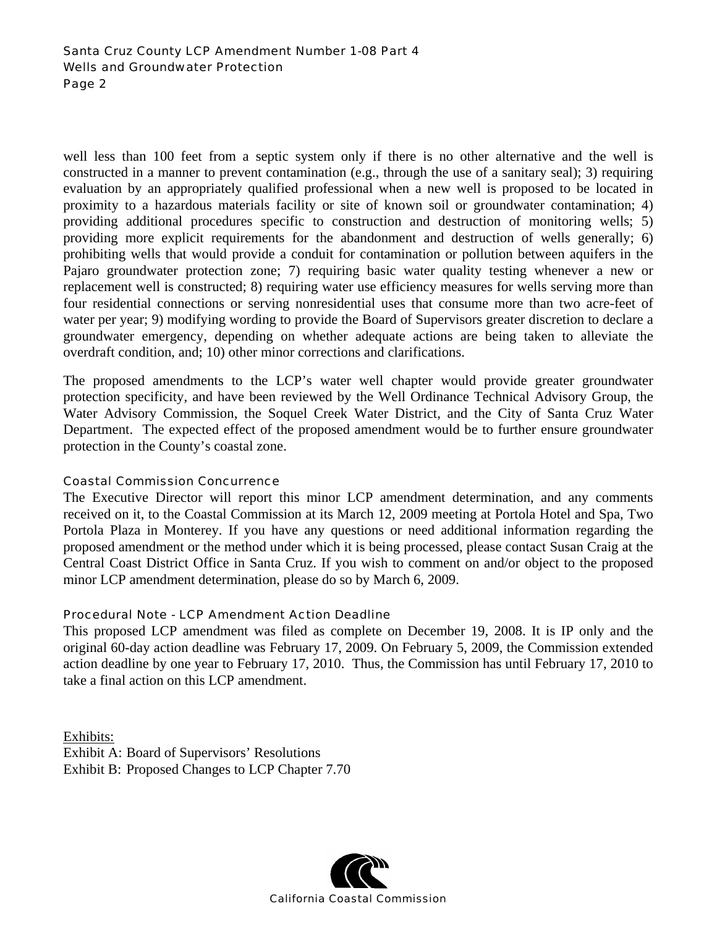# Santa Cruz County LCP Amendment Number 1-08 Part 4 Wells and Groundwater Protection Page 2

well less than 100 feet from a septic system only if there is no other alternative and the well is constructed in a manner to prevent contamination (e.g., through the use of a sanitary seal); 3) requiring evaluation by an appropriately qualified professional when a new well is proposed to be located in proximity to a hazardous materials facility or site of known soil or groundwater contamination; 4) providing additional procedures specific to construction and destruction of monitoring wells; 5) providing more explicit requirements for the abandonment and destruction of wells generally; 6) prohibiting wells that would provide a conduit for contamination or pollution between aquifers in the Pajaro groundwater protection zone; 7) requiring basic water quality testing whenever a new or replacement well is constructed; 8) requiring water use efficiency measures for wells serving more than four residential connections or serving nonresidential uses that consume more than two acre-feet of water per year; 9) modifying wording to provide the Board of Supervisors greater discretion to declare a groundwater emergency, depending on whether adequate actions are being taken to alleviate the overdraft condition, and; 10) other minor corrections and clarifications.

The proposed amendments to the LCP's water well chapter would provide greater groundwater protection specificity, and have been reviewed by the Well Ordinance Technical Advisory Group, the Water Advisory Commission, the Soquel Creek Water District, and the City of Santa Cruz Water Department. The expected effect of the proposed amendment would be to further ensure groundwater protection in the County's coastal zone.

# Coastal Commission Concurrence

The Executive Director will report this minor LCP amendment determination, and any comments received on it, to the Coastal Commission at its March 12, 2009 meeting at Portola Hotel and Spa, Two Portola Plaza in Monterey. If you have any questions or need additional information regarding the proposed amendment or the method under which it is being processed, please contact Susan Craig at the Central Coast District Office in Santa Cruz. If you wish to comment on and/or object to the proposed minor LCP amendment determination, please do so by March 6, 2009.

# Procedural Note - LCP Amendment Action Deadline

This proposed LCP amendment was filed as complete on December 19, 2008. It is IP only and the original 60-day action deadline was February 17, 2009. On February 5, 2009, the Commission extended action deadline by one year to February 17, 2010. Thus, the Commission has until February 17, 2010 to take a final action on this LCP amendment.

Exhibits: Exhibit A: Board of Supervisors' Resolutions Exhibit B: Proposed Changes to LCP Chapter 7.70

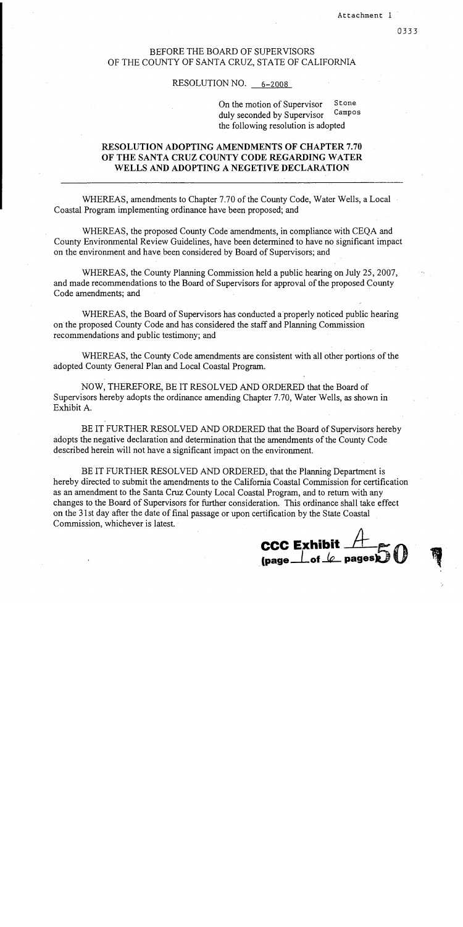# **BEFORE THE BOARD OF SUPERVISORS** OF THE COUNTY OF SANTA CRUZ, STATE OF CALIFORNIA

#### RESOLUTION NO.  $6-2008$

Stone On the motion of Supervisor Campos duly seconded by Supervisor the following resolution is adopted

# **RESOLUTION ADOPTING AMENDMENTS OF CHAPTER 7.70** OF THE SANTA CRUZ COUNTY CODE REGARDING WATER WELLS AND ADOPTING A NEGETIVE DECLARATION

WHEREAS, amendments to Chapter 7.70 of the County Code, Water Wells, a Local Coastal Program implementing ordinance have been proposed; and

WHEREAS, the proposed County Code amendments, in compliance with CEQA and County Environmental Review Guidelines, have been determined to have no significant impact on the environment and have been considered by Board of Supervisors; and

WHEREAS, the County Planning Commission held a public hearing on July 25, 2007, and made recommendations to the Board of Supervisors for approval of the proposed County Code amendments; and

WHEREAS, the Board of Supervisors has conducted a properly noticed public hearing on the proposed County Code and has considered the staff and Planning Commission recommendations and public testimony; and

WHEREAS, the County Code amendments are consistent with all other portions of the adopted County General Plan and Local Coastal Program.

NOW, THEREFORE, BE IT RESOLVED AND ORDERED that the Board of Supervisors hereby adopts the ordinance amending Chapter 7.70, Water Wells, as shown in Exhibit A.

BE IT FURTHER RESOLVED AND ORDERED that the Board of Supervisors hereby adopts the negative declaration and determination that the amendments of the County Code described herein will not have a significant impact on the environment.

BE IT FURTHER RESOLVED AND ORDERED, that the Planning Department is hereby directed to submit the amendments to the California Coastal Commission for certification as an amendment to the Santa Cruz County Local Coastal Program, and to return with any changes to the Board of Supervisors for further consideration. This ordinance shall take effect on the 31st day after the date of final passage or upon certification by the State Coastal Commission, whichever is latest.

**CCC Exhibit**  $#$ <br>(page  $\bot$  of  $\bot$  pages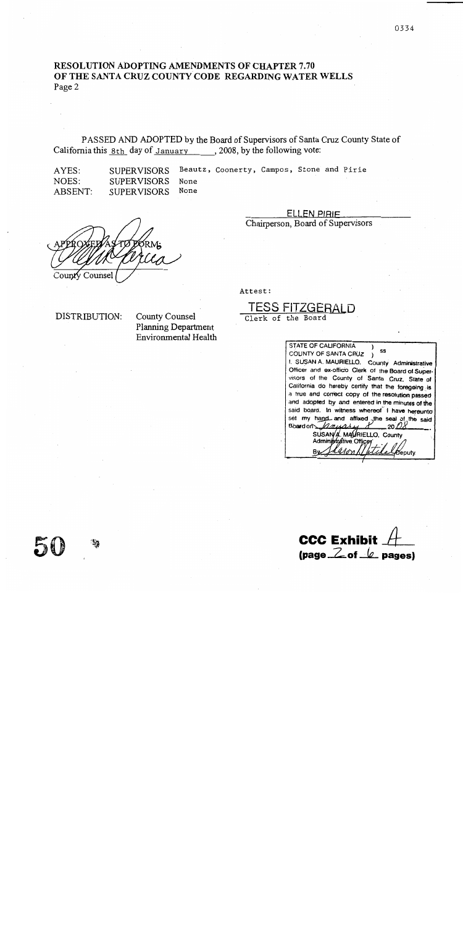# **RESOLUTION ADOPTING AMENDMENTS OF CHAPTER 7.70** OF THE SANTA CRUZ COUNTY CODE REGARDING WATER WELLS Page 2

PASSED AND ADOPTED by the Board of Supervisors of Santa Cruz County State of California this 8th day of January , 2008, by the following vote:

AYES: NOES: ABSENT:

Beautz, Coonerty, Campos, Stone and Pirie **SUPERVISORS SUPERVISORS** None None **SUPERVISORS** 

County Counsel

**ELLEN PIRIF** Chairperson, Board of Supervisors

Attest:

TESS FIT

Clerk of the Board

DISTRIBUTION:

**County Counsel Planning Department** Environmental Health

STATE OF CALIFORNIA SS COUNTY OF SANTA CRUZ ) I. SUSAN A. MAURIELLO. County Administrative Officer and ex-officio Clerk of the Board of Supervisors of the County of Santa Cruz, State of California do hereby certify that the foregoing is a true and correct copy of the resolution passed and adopted by and entered in the minutes of the said board. In witness whereof I have hereunto set my hand and affixed the seal of the said<br>Board on  $\sqrt{4\pi\mu^2+\mu^2}$  20 08 \_20 *DX* SUSAN A. MAVRIELLO, County Beputv.

**CCC Exhibit**  $\frac{1}{2}$  (page  $\frac{2}{2}$  of  $\frac{1}{2}$  pages)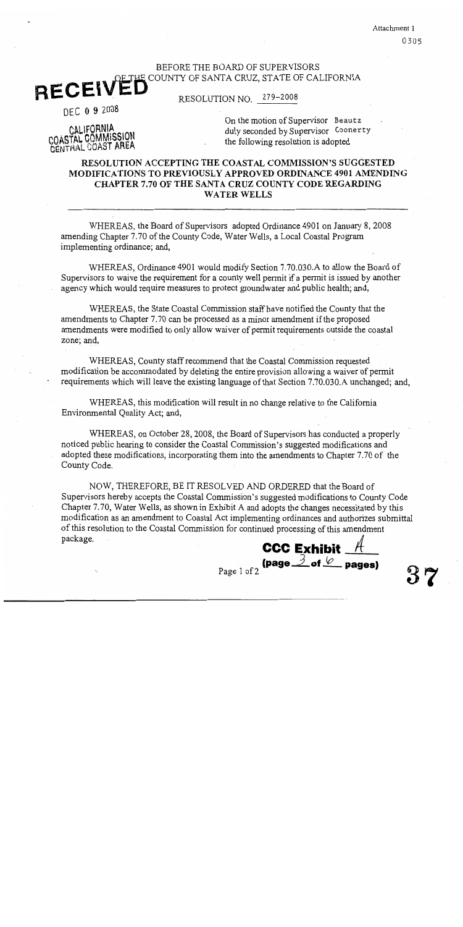Attachment 1 0305

# BEFORE THE BOARD OF SUPERVISORS E COUNTY OF SANTA CRUZ, STATE OF CALIFORNIA **RECEIVED**

279-2008 RESOLUTION NO.

DEC 0 9 2008

CALIFORNIA COASTAL COMMISSION On the motion of Supervisor Beautz duly seconded by Supervisor Coonerty the following resolution is adopted

# **RESOLUTION ACCEPTING THE COASTAL COMMISSION'S SUGGESTED** MODIFICATIONS TO PREVIOUSLY APPROVED ORDINANCE 4901 AMENDING CHAPTER 7.70 OF THE SANTA CRUZ COUNTY CODE REGARDING **WATER WELLS**

WHEREAS, the Board of Supervisors adopted Ordinance 4901 on January 8, 2008 amending Chapter 7.70 of the County Code, Water Wells, a Local Coastal Program implementing ordinance; and,

WHEREAS, Ordinance 4901 would modify Section 7.70.030.A to allow the Board of Supervisors to waive the requirement for a county well permit if a permit is issued by another agency which would require measures to protect groundwater and public health; and,

WHEREAS, the State Coastal Commission staff have notified the County that the amendments to Chapter 7.70 can be processed as a minor amendment if the proposed amendments were modified to only allow waiver of permit requirements outside the coastal zone; and,

WHEREAS, County staff recommend that the Coastal Commission requested modification be accommodated by deleting the entire provision allowing a waiver of permit requirements which will leave the existing language of that Section 7.70.030.A unchanged; and,

WHEREAS, this modification will result in no change relative to the California Environmental Quality Act; and,

WHEREAS, on October 28, 2008, the Board of Supervisors has conducted a properly noticed public hearing to consider the Coastal Commission's suggested modifications and adopted these modifications, incorporating them into the amendments to Chapter 7.70 of the County Code.

NOW, THEREFORE, BE IT RESOLVED AND ORDERED that the Board of Supervisors hereby accepts the Coastal Commission's suggested modifications to County Code Chapter 7.70, Water Wells, as shown in Exhibit A and adopts the changes necessitated by this modification as an amendment to Coastal Act implementing ordinances and authorizes submittal of this resolution to the Coastal Commission for continued processing of this amendment package. **CCC Exhibit** 

Page 1 of 2

(page  $\preceq$  of  $\sqrt{\ }$  pages)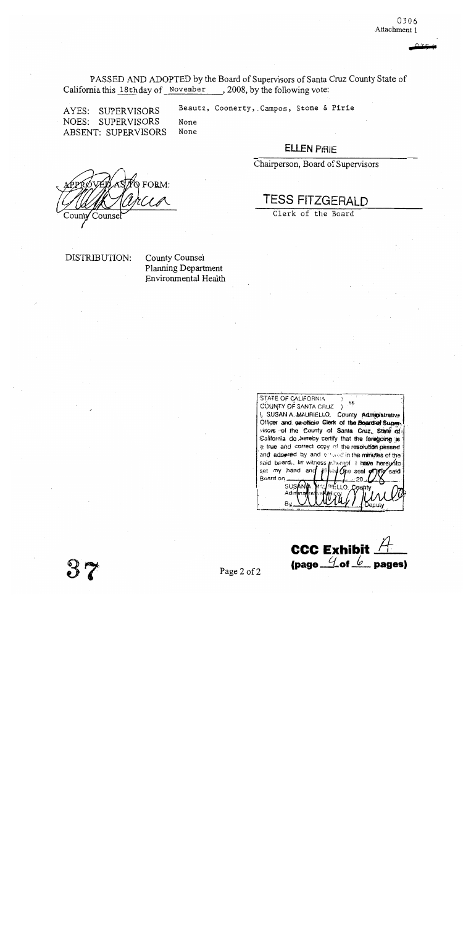PASSED AND ADOPTED by the Board of Supervisors of Santa Cruz County State of California this 18thday of November, 2008, by the following vote:

AYES: SUPERVISORS NOES: **SUPERVISORS ABSENT: SUPERVISORS** 

Beautz, Coonerty, Campos, Stone & Pirie None

# **ELLEN PIRIE**

Chairperson, Board of Supervisors

 $\infty$  FORM: Counse

**TESS FITZGERAI D** 

Clerk of the Board

DISTRIBUTION:

County Counsel Planning Department Environmental Health

None

STATE OF CALIFORNIA SS COUNTY OF SANTA CRUZ ) I. SUSAN A MAURIELLO, County Administrative Officer and ex-officio Clerk of the Board of Supervisors of the County of Santa Cruz, State of California do hereby certify that the foregoing is a true and correct copy of the resolution passed and adopted by and entrand in the minutes of the said board. In witness pulleceof I have hereunto set my hand and Che seal ن ش said Board on SUSAN Adir By

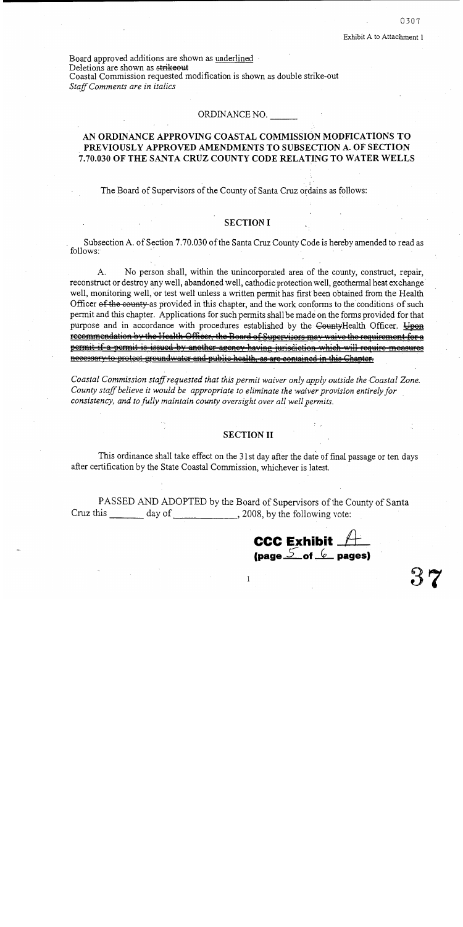Board approved additions are shown as underlined Deletions are shown as strikeout Coastal Commission requested modification is shown as double strike-out Staff Comments are in italics

#### ORDINANCE NO.

# AN ORDINANCE APPROVING COASTAL COMMISSION MODFICATIONS TO PREVIOUSLY APPROVED AMENDMENTS TO SUBSECTION A. OF SECTION 7.70.030 OF THE SANTA CRUZ COUNTY CODE RELATING TO WATER WELLS

The Board of Supervisors of the County of Santa Cruz ordains as follows:

#### **SECTION I**

Subsection A. of Section 7.70.030 of the Santa Cruz County Code is hereby amended to read as follows:

 $A_{\cdot}$ No person shall, within the unincorporated area of the county, construct, repair, reconstruct or destroy any well, abandoned well, cathodic protection well, geothermal heat exchange well, monitoring well, or test well unless a written permit has first been obtained from the Health Officer of the county-as provided in this chapter, and the work conforms to the conditions of such permit and this chapter. Applications for such permits shall be made on the forms provided for that purpose and in accordance with procedures established by the CountyHealth Officer. Upon recommendation by the Health Officer, the Board of Supervisors may waive the requirement for a permit if a permit is issued by another agency having jurisdiction which will require measures necessary to protect groundwater and public health, as are contained in this Chapter-

Coastal Commission staff requested that this permit waiver only apply outside the Coastal Zone. County staff believe it would be appropriate to eliminate the waiver provision entirely for consistency, and to fully maintain county oversight over all well permits.

#### **SECTION II**

This ordinance shall take effect on the 31st day after the date of final passage or ten days after certification by the State Coastal Commission, whichever is latest.

PASSED AND ADOPTED by the Board of Supervisors of the County of Santa Cruz this \_\_\_\_\_\_\_\_ day of \_\_\_\_\_\_\_\_\_\_\_\_\_\_\_, 2008, by the following vote:

**CCC Exhibit \_/** (page  $\frac{5}{2}$  of  $(e)$  pages)

 $\mathbf{I}$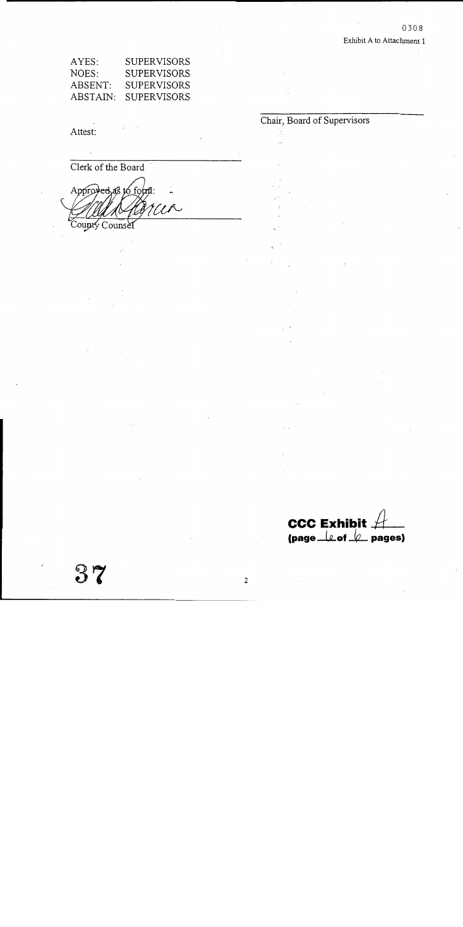Chair, Board of Supervisors

| AYES:    | SUPERVISORS        |
|----------|--------------------|
| NOES:    | <b>SUPERVISORS</b> |
| ABSENT:  | <b>SUPERVISORS</b> |
| ABSTAIN: | <b>SUPERVISORS</b> |

Attest:

 $\mathbf{S}$ 

Clerk of the Board Approved as to form: WR County Counsel

CCC Exhibit  $A$  pages)

 $\overline{2}$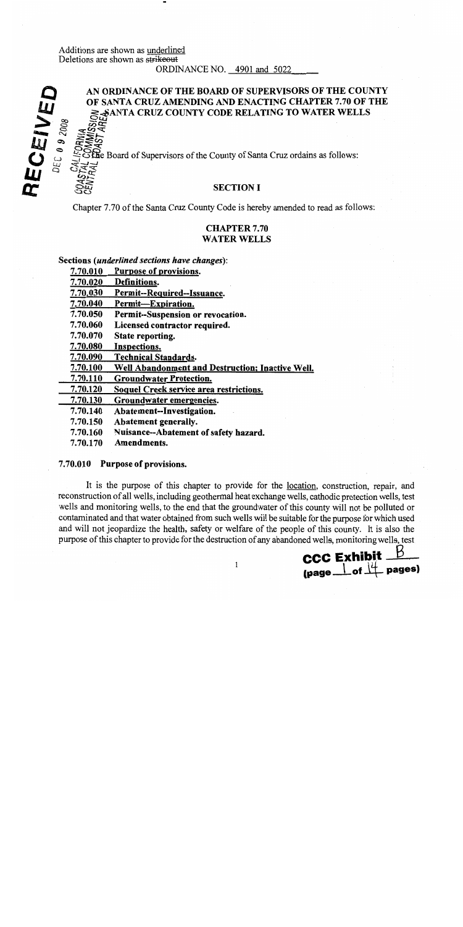# Additions are shown as underlined Deletions are shown as strikeout

ORDINANCE NO. 4901 and 5022

# RECEIVED AN ORDINANCE OF THE BOARD OF SUPERVISORS OF THE COUNTY OF SANTA CRUZ AMENDING AND ENACTING CHAPTER 7.70 OF THE **SANTA CRUZ COUNTY CODE RELATING TO WATER WELLS**  $DEC$  0 9 2008

Bre Board of Supervisors of the County of Santa Cruz ordains as follows:

# **SECTION I**

Chapter 7.70 of the Santa Cruz County Code is hereby amended to read as follows:

# **CHAPTER 7.70 WATER WELLS**

#### Sections (underlined sections have changes):

Purpose of provisions. 7.70.010

- 7.70.020 Definitions.
- Permit--Required--Issuance. 7.70.030
- 7.70.040 Permit-Expiration.
- Permit--Suspension or revocation. 7.70.050
- 7.70.060 Licensed contractor required.
- 7.70.070 State reporting.
- 7.70.080 Inspections.
- 7.70.090 **Technical Standards.**
- 7.70.100 Well Abandonment and Destruction; Inactive Well.
- 7.70.110 **Groundwater Protection.**
- 7.70.120 Soquel Creek service area restrictions.
- 7.70.130 Groundwater emergencies.
- 7.70.140 Abatement--Investigation.
- 7.70.150 Abatement generally.
- 7.70.160 Nuisance--Abatement of safety hazard.
- 7.70.170 Amendments.

#### 7.70.010 Purpose of provisions.

It is the purpose of this chapter to provide for the location, construction, repair, and reconstruction of all wells, including geothermal heat exchange wells, cathodic protection wells, test wells and monitoring wells, to the end that the groundwater of this county will not be polluted or contaminated and that water obtained from such wells will be suitable for the purpose for which used and will not jeopardize the health, safety or welfare of the people of this county. It is also the purpose of this chapter to provide for the destruction of any abandoned wells, monitoring wells, test

**CCC Exhibit**  $\frac{\beta}{\beta}$  (page  $\frac{1}{\alpha}$  of  $\frac{1}{\alpha}$  pages)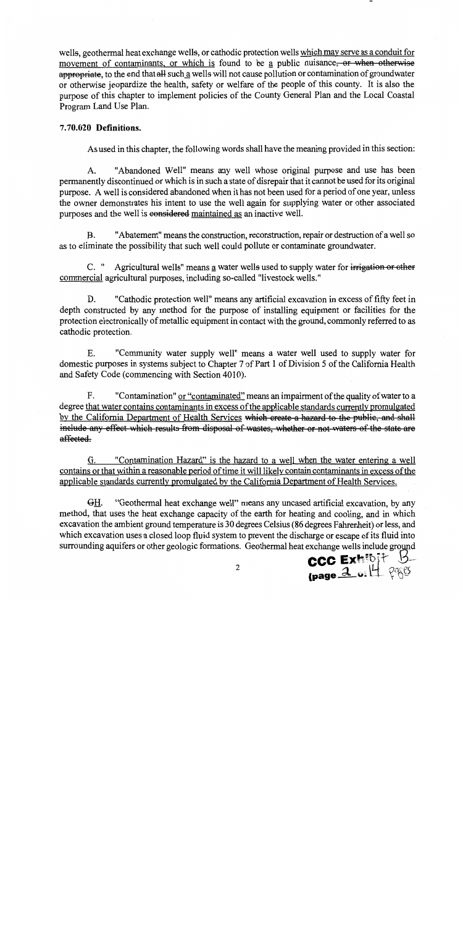wells, geothermal heat exchange wells, or cathodic protection wells which may serve as a conduit for movement of contaminants, or which is found to be a public nuisance, or when otherwise appropriate, to the end that all such a wells will not cause pollution or contamination of groundwater or otherwise ieopardize the health, safety or welfare of the people of this county. It is also the purpose of this chapter to implement policies of the County General Plan and the Local Coastal Program Land Use Plan.

### 7.70.020 Definitions.

As used in this chapter, the following words shall have the meaning provided in this section:

"Abandoned Well" means any well whose original purpose and use has been  $\mathbf{A}$ . permanently discontinued or which is in such a state of disrepair that it cannot be used for its original purpose. A well is considered abandoned when it has not been used for a period of one year, unless the owner demonstrates his intent to use the well again for supplying water or other associated purposes and the well is eonsidered maintained as an inactive well.

"Abatement" means the construction, reconstruction, repair or destruction of a well so  $B.$ as to eliminate the possibility that such well could pollute or contaminate groundwater.

C. " Agricultural wells" means a water wells used to supply water for irrigation or other commercial agricultural purposes, including so-called "livestock wells."

"Cathodic protection well" means any artificial excavation in excess of fifty feet in D. depth constructed by any method for the purpose of installing equipment or facilities for the protection electronically of metallic equipment in contact with the ground, commonly referred to as cathodic protection.

 $E_{\rm{L}}$ "Community water supply well" means a water well used to supply water for domestic purposes in systems subject to Chapter 7 of Part 1 of Division 5 of the California Health and Safety Code (commencing with Section 4010).

"Contamination" or "contaminated" means an impairment of the quality of water to a F. degree that water contains contaminants in excess of the applicable standards currently promulgated by the California Department of Health Services which create a hazard to the public, and shall include any effect which results from disposal of wastes, whether or not waters of the state are affected.

"Contamination Hazard" is the hazard to a well when the water entering a well G. contains or that within a reasonable period of time it will likely contain contaminants in excess of the applicable standards currently promulgated by the California Department of Health Services.

GH. "Geothermal heat exchange well" means any uncased artificial excavation, by any method, that uses the heat exchange capacity of the earth for heating and cooling, and in which excavation the ambient ground temperature is 30 degrees Celsius (86 degrees Fahrenheit) or less, and which excavation uses a closed loop fluid system to prevent the discharge or escape of its fluid into surrounding aquifers or other geologic formations. Geothermal heat exchange wells include ground

CCC Exhibit B

 $\overline{2}$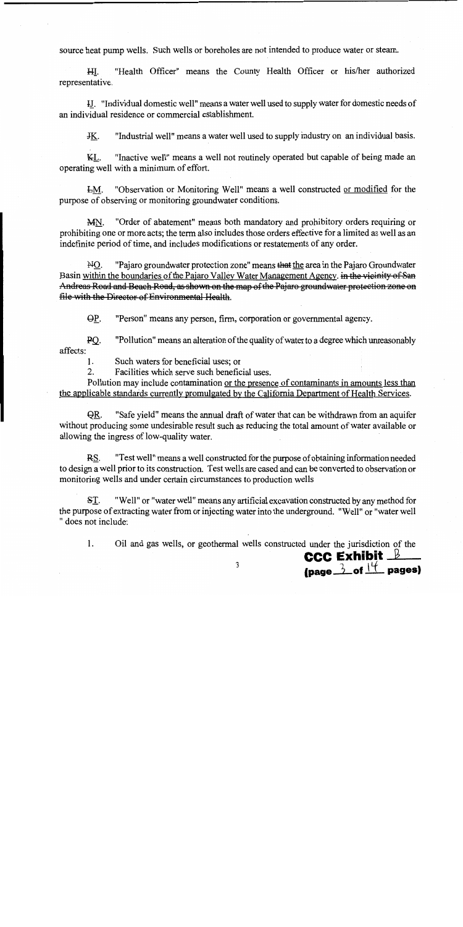source heat pump wells. Such wells or boreholes are not intended to produce water or steam.

"Health Officer" means the County Health Officer or his/her authorized HI. representative.

H. "Individual domestic well" means a water well used to supply water for domestic needs of an individual residence or commercial establishment.

"Industrial well" means a water well used to supply industry on an individual basis. JK.

KL. "Inactive well" means a well not routinely operated but capable of being made an operating well with a minimum of effort.

"Observation or Monitoring Well" means a well constructed or modified for the LM. purpose of observing or monitoring groundwater conditions.

"Order of abatement" means both mandatory and prohibitory orders requiring or MN. prohibiting one or more acts; the term also includes those orders effective for a limited as well as an indefinite period of time, and includes modifications or restatements of any order.

 $MO.$ "Pajaro groundwater protection zone" means that the area in the Pajaro Groundwater Basin within the boundaries of the Pajaro Valley Water Management Agency. in the vicinity of San Andreas Road and Beach Road, as shown on the map of the Pajaro groundwater protection zone on file with the Director of Environmental Health.

"Person" means any person, firm, corporation or governmental agency.  $\Theta P$ .

"Pollution" means an alteration of the quality of water to a degree which unreasonably  $PO.$ affects:

 $1<sub>1</sub>$ Such waters for beneficial uses; or

 $2.$ Facilities which serve such beneficial uses.

Pollution may include contamination or the presence of contaminants in amounts less than the applicable standards currently promulgated by the California Department of Health Services.

"Safe yield" means the annual draft of water that can be withdrawn from an aquifer OR. without producing some undesirable result such as reducing the total amount of water available or allowing the ingress of low-quality water.

RS. "Test well" means a well constructed for the purpose of obtaining information needed to design a well prior to its construction. Test wells are cased and can be converted to observation or monitoring wells and under certain circumstances to production wells

ST. "Well" or "water well" means any artificial excavation constructed by any method for the purpose of extracting water from or injecting water into the underground. "Well" or "water well " does not include:

 $\mathbf{1}$ . Oil and gas wells, or geothermal wells constructed under the jurisdiction of the **CCC Exhibit**  $\mathbb{B}$ 

(page  $\frac{3}{2}$  of  $\frac{14}{1}$  pages)

3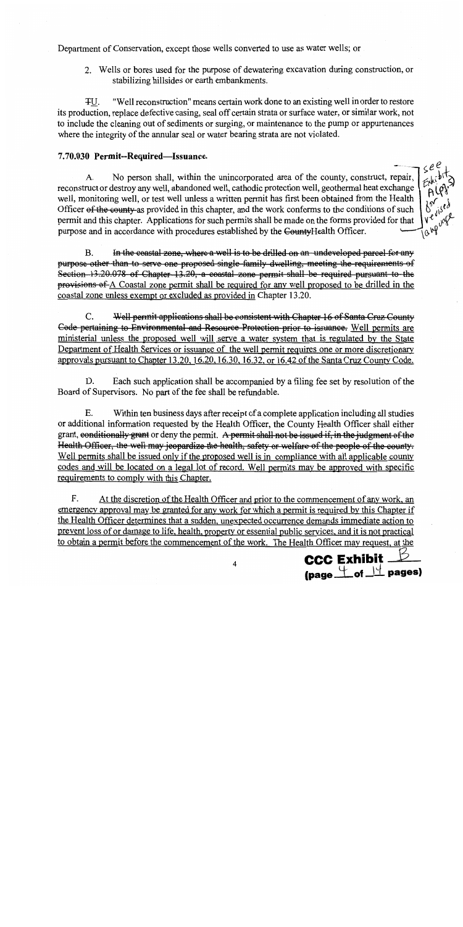Department of Conservation, except those wells converted to use as water wells; or

2. Wells or bores used for the purpose of dewatering excavation during construction, or stabilizing hillsides or earth embankments.

"Well reconstruction" means certain work done to an existing well in order to restore 平U. its production, replace defective casing, seal off certain strata or surface water, or similar work, not to include the cleaning out of sediments or surging, or maintenance to the pump or appurtenances where the integrity of the annular seal or water bearing strata are not violated.

# 7.70.030 Permit--Required-Issuance.

No person shall, within the unincorporated area of the county, construct, repair,  $\mathbf{A}$ . reconstruct or destroy any well, abandoned well, cathodic protection well, geothermal heat exchange well, monitoring well, or test well unless a written permit has first been obtained from the Health Officer of the county-as provided in this chapter, and the work conforms to the conditions of such permit and this chapter. Applications for such permits shall be made on the forms provided for that purpose and in accordance with procedures established by the CountyHealth Officer.

In the coastal zone, where a well is to be drilled on an undeveloped parcel for any  $\mathbf{B}$ purpose other than to serve one proposed single family dwelling, meeting the requirements of Section 13.20.078 of Chapter 13.20, a coastal zone permit shall be required pursuant to the provisions of A Coastal zone permit shall be required for any well proposed to be drilled in the coastal zone unless exempt or excluded as provided in Chapter 13.20.

 $C_{\cdot}$ Well permit applications shall be consistent with Chapter 16 of Santa Cruz County Code pertaining to Environmental and Resource Protection prior to issuance. Well permits are ministerial unless the proposed well will serve a water system that is regulated by the State Department of Health Services or issuance of the well permit requires one or more discretionary approvals pursuant to Chapter 13.20, 16.20, 16.30, 16.32, or 16.42 of the Santa Cruz County Code.

Each such application shall be accompanied by a filing fee set by resolution of the D. Board of Supervisors. No part of the fee shall be refundable.

Within ten business days after receipt of a complete application including all studies Е. or additional information requested by the Health Officer, the County Health Officer shall either grant, eonditionally grant or deny the permit. A permit shall not be issued if, in the judgment of the Health Officer, the well may jeopardize the health, safety or welfare of the people of the county. Well permits shall be issued only if the proposed well is in compliance with all applicable county codes and will be located on a legal lot of record. Well permits may be approved with specific requirements to comply with this Chapter.

F. At the discretion of the Health Officer and prior to the commencement of any work, an emergency approval may be granted for any work for which a permit is required by this Chapter if the Health Officer determines that a sudden, unexpected occurrence demands immediate action to prevent loss of or damage to life, health, property or essential public services, and it is not practical to obtain a permit before the commencement of the work. The Health Officer may request, at the



see

A١

Ve vist

Tanguag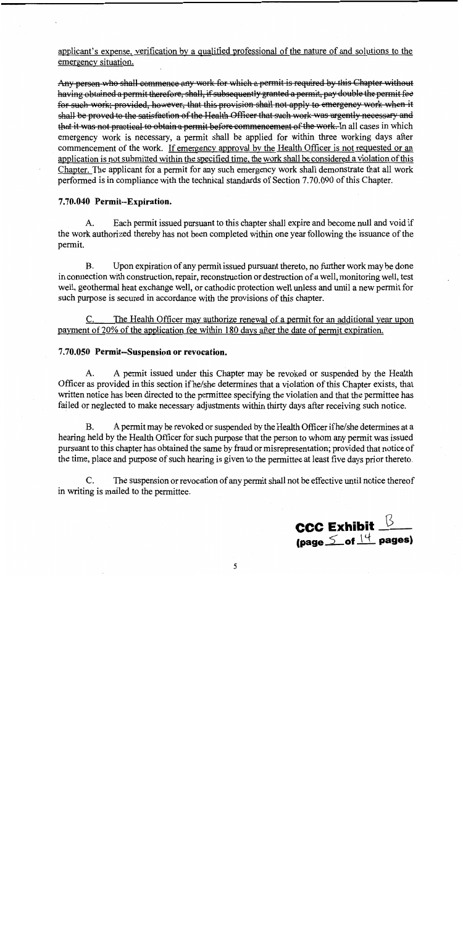applicant's expense, verification by a qualified professional of the nature of and solutions to the emergency situation.

Any person who shall commence any work for which a permit is required by this Chapter without having obtained a permit therefore, shall, if subsequently granted a permit, pay double the permit fee for such work; provided, however, that this provision shall not apply to emergency work when it shall be proved to the satisfaction of the Health Officer that such work was urgently necessary and that it was not practical to obtain a permit before commencement of the work. In all cases in which emergency work is necessary, a permit shall be applied for within three working days after commencement of the work. If emergency approval by the Health Officer is not requested or an application is not submitted within the specified time, the work shall be considered a violation of this Chapter. The applicant for a permit for any such emergency work shall demonstrate that all work performed is in compliance with the technical standards of Section 7.70.090 of this Chapter.

## 7.70.040 Permit--Expiration.

Each permit issued pursuant to this chapter shall expire and become null and void if  $\mathsf{A}$ . the work authorized thereby has not been completed within one year following the issuance of the permit.

Upon expiration of any permit issued pursuant thereto, no further work may be done  $B<sub>1</sub>$ in connection with construction, repair, reconstruction or destruction of a well, monitoring well, test well, geothermal heat exchange well, or cathodic protection well unless and until a new permit for such purpose is secured in accordance with the provisions of this chapter.

The Health Officer may authorize renewal of a permit for an additional year upon payment of 20% of the application fee within 180 days after the date of permit expiration.

#### 7.70.050 Permit-Suspension or revocation.

A permit issued under this Chapter may be revoked or suspended by the Health A. Officer as provided in this section if he/she determines that a violation of this Chapter exists, that written notice has been directed to the permittee specifying the violation and that the permittee has failed or neglected to make necessary adjustments within thirty days after receiving such notice.

A permit may be revoked or suspended by the Health Officer if he/she determines at a **B.** hearing held by the Health Officer for such purpose that the person to whom any permit was issued pursuant to this chapter has obtained the same by fraud or misrepresentation; provided that notice of the time, place and purpose of such hearing is given to the permittee at least five days prior thereto.

 $C_{\cdot}$ The suspension or revocation of any permit shall not be effective until notice thereof in writing is mailed to the permittee.

**CCC Exhibit**  $\frac{\beta}{\beta}$  (page  $\leq$  of  $\frac{14}{15}$  pages)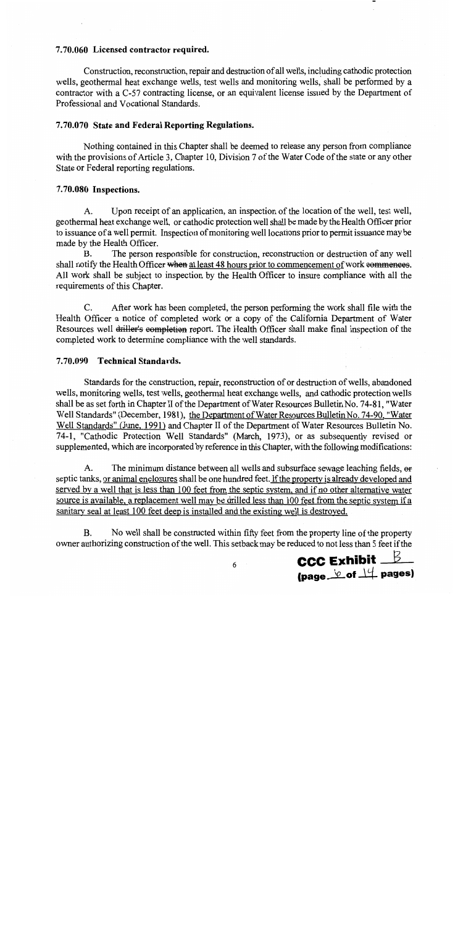#### 7.70.060 Licensed contractor required.

Construction, reconstruction, repair and destruction of all wells, including cathodic protection wells, geothermal heat exchange wells, test wells and monitoring wells, shall be performed by a contractor with a C-57 contracting license, or an equivalent license issued by the Department of Professional and Vocational Standards.

## 7.70.070 State and Federal Reporting Regulations.

Nothing contained in this Chapter shall be deemed to release any person from compliance with the provisions of Article 3, Chapter 10, Division 7 of the Water Code of the state or any other State or Federal reporting regulations.

#### 7.70.080 Inspections.

Upon receipt of an application, an inspection of the location of the well, test well,  $A_{\cdot}$ geothermal heat exchange well, or cathodic protection well shall be made by the Health Officer prior to issuance of a well permit. Inspection of monitoring well locations prior to permit issuance may be made by the Health Officer.

The person responsible for construction, reconstruction or destruction of any well **B.** shall notify the Health Officer when at least 48 hours prior to commencement of work commences. All work shall be subject to inspection by the Health Officer to insure compliance with all the requirements of this Chapter.

 $C_{\cdot}$ After work has been completed, the person performing the work shall file with the Health Officer a notice of completed work or a copy of the California Department of Water Resources well driller's eompletion report. The Health Officer shall make final inspection of the completed work to determine compliance with the well standards.

#### 7.70.090 Technical Standards.

Standards for the construction, repair, reconstruction of or destruction of wells, abandoned wells, monitoring wells, test wells, geothermal heat exchange wells, and cathodic protection wells shall be as set forth in Chapter II of the Department of Water Resources Bulletin No. 74-81, "Water Well Standards" (December, 1981), the Department of Water Resources Bulletin No. 74-90, "Water Well Standards" (June, 1991) and Chapter II of the Department of Water Resources Bulletin No. 74-1, "Cathodic Protection Well Standards" (March, 1973), or as subsequently revised or supplemented, which are incorporated by reference in this Chapter, with the following modifications:

The minimum distance between all wells and subsurface sewage leaching fields, or  $A_{\cdot}$ septic tanks, or animal enclosures shall be one hundred feet. If the property is already developed and served by a well that is less than 100 feet from the septic system, and if no other alternative water source is available, a replacement well may be drilled less than 100 feet from the septic system if a sanitary seal at least 100 feet deep is installed and the existing well is destroyed.

**B.** No well shall be constructed within fifty feet from the property line of the property owner authorizing construction of the well. This setback may be reduced to not less than 5 feet if the

**CCC Exhibit**  $B$ (page  $\&$  of  $\perp\downarrow$  pages)

6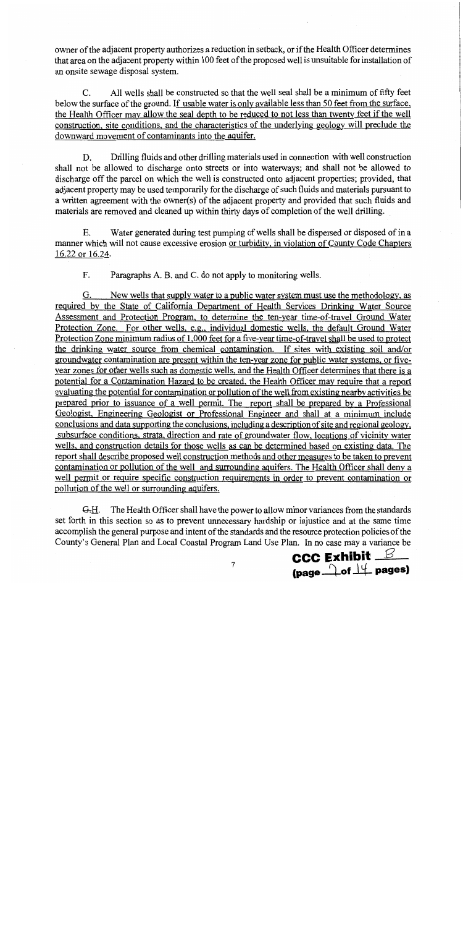owner of the adjacent property authorizes a reduction in setback, or if the Health Officer determines that area on the adjacent property within 100 feet of the proposed well is unsuitable for installation of an onsite sewage disposal system.

All wells shall be constructed so that the well seal shall be a minimum of fifty feet  $C_{\cdot}$ below the surface of the ground. If usable water is only available less than 50 feet from the surface. the Health Officer may allow the seal depth to be reduced to not less than twenty feet if the well construction, site conditions, and the characteristics of the underlying geology will preclude the downward movement of contaminants into the aquifer.

Drilling fluids and other drilling materials used in connection with well construction D. shall not be allowed to discharge onto streets or into waterways; and shall not be allowed to discharge off the parcel on which the well is constructed onto adjacent properties; provided, that adjacent property may be used temporarily for the discharge of such fluids and materials pursuant to a written agreement with the owner(s) of the adjacent property and provided that such fluids and materials are removed and cleaned up within thirty days of completion of the well drilling.

 $E_{\rm{L}}$ Water generated during test pumping of wells shall be dispersed or disposed of in a manner which will not cause excessive erosion or turbidity, in violation of County Code Chapters 16.22 or 16.24.

F. Paragraphs A. B. and C. do not apply to monitoring wells.

New wells that supply water to a public water system must use the methodology, as G. required by the State of California Department of Health Services Drinking Water Source Assessment and Protection Program, to determine the ten-year time-of-travel Ground Water Protection Zone. For other wells, e.g., individual domestic wells, the default Ground Water Protection Zone minimum radius of 1,000 feet for a five-year time-of-travel shall be used to protect the drinking water source from chemical contamination. If sites with existing soil and/or groundwater contamination are present within the ten-year zone for public water systems, or fiveyear zones for other wells such as domestic wells, and the Health Officer determines that there is a potential for a Contamination Hazard to be created, the Health Officer may require that a report evaluating the potential for contamination or pollution of the well from existing nearby activities be prepared prior to issuance of a well permit. The report shall be prepared by a Professional Geologist, Engineering Geologist or Professional Engineer and shall at a minimum include conclusions and data supporting the conclusions, including a description of site and regional geology, subsurface conditions, strata, direction and rate of groundwater flow, locations of vicinity water wells, and construction details for those wells as can be determined based on existing data. The report shall describe proposed well construction methods and other measures to be taken to prevent contamination or pollution of the well and surrounding aquifers. The Health Officer shall deny a well permit or require specific construction requirements in order to prevent contamination or pollution of the well or surrounding aquifers.

 $G.H.$  The Health Officer shall have the power to allow minor variances from the standards set forth in this section so as to prevent unnecessary hardship or injustice and at the same time accomplish the general purpose and intent of the standards and the resource protection policies of the County's General Plan and Local Coastal Program Land Use Plan. In no case may a variance be

**CCC Exhibit**  $\mathcal{L}$ (page 1 of 14 pages)

 $\overline{7}$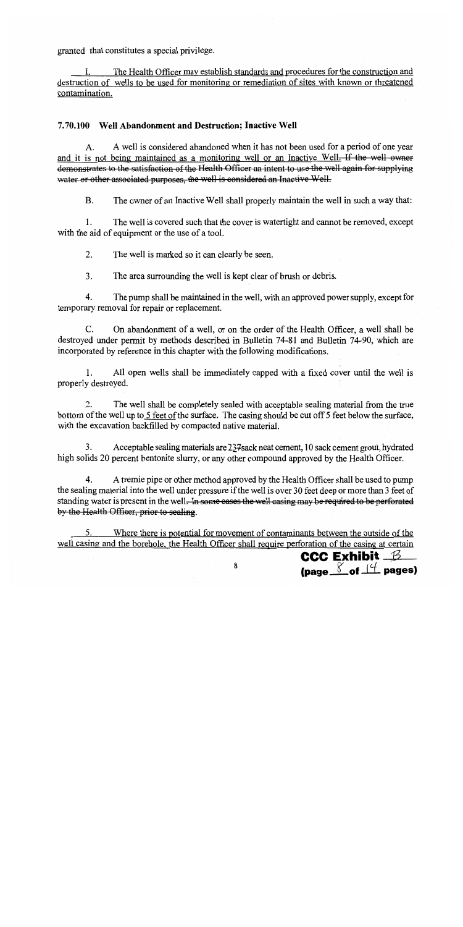granted that constitutes a special privilege.

The Health Officer may establish standards and procedures for the construction and destruction of wells to be used for monitoring or remediation of sites with known or threatened contamination.

## 7.70.100 Well Abandonment and Destruction; Inactive Well

A well is considered abandoned when it has not been used for a period of one year A. and it is not being maintained as a monitoring well or an Inactive Well. If the well owner demonstrates to the satisfaction of the Health Officer an intent to use the well again for supplying water or other associated purposes, the well is considered an Inactive Well.

 $\mathbf{B}$ . The owner of an Inactive Well shall properly maintain the well in such a way that:

The well is covered such that the cover is watertight and cannot be removed, except  $\mathbf{1}$ . with the aid of equipment or the use of a tool.

 $2.$ The well is marked so it can clearly be seen.

 $3<sub>1</sub>$ The area surrounding the well is kept clear of brush or debris.

 $\overline{4}$ . The pump shall be maintained in the well, with an approved power supply, except for temporary removal for repair or replacement.

 $C_{\cdot}$ On abandonment of a well, or on the order of the Health Officer, a well shall be destroyed under permit by methods described in Bulletin 74-81 and Bulletin 74-90, which are incorporated by reference in this chapter with the following modifications.

 $1<sub>1</sub>$ All open wells shall be immediately capped with a fixed cover until the well is properly destroyed.

 $\overline{2}$ . The well shall be completely sealed with acceptable sealing material from the true bottom of the well up to 5 feet of the surface. The casing should be cut off 5 feet below the surface, with the excavation backfilled by compacted native material.

3. Acceptable sealing materials are 237 sack neat cement, 10 sack cement grout, hydrated high solids 20 percent bentonite slurry, or any other compound approved by the Health Officer.

4. A tremie pipe or other method approved by the Health Officer shall be used to pump the sealing material into the well under pressure if the well is over 30 feet deep or more than 3 feet of standing water is present in the well. In some cases the well casing may be required to be perforated by the Health Officer, prior to sealing.

Where there is potential for movement of contaminants between the outside of the well casing and the borehole, the Health Officer shall require perforation of the casing at certain

**CCC Exhibit B** (page  $\frac{8}{2}$  of  $\frac{14}{2}$  pages)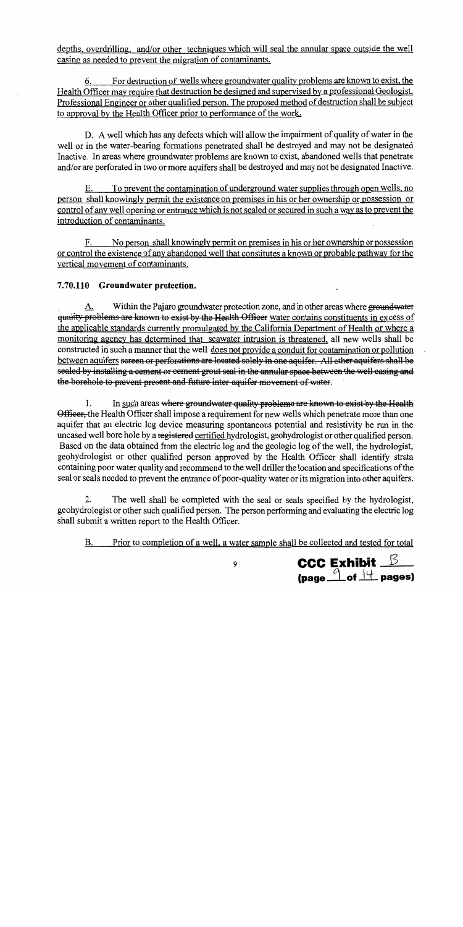depths, overdrilling, and/or other techniques which will seal the annular space outside the well casing as needed to prevent the migration of contaminants.

For destruction of wells where groundwater quality problems are known to exist, the 6. Health Officer may require that destruction be designed and supervised by a professional Geologist, Professional Engineer or other qualified person. The proposed method of destruction shall be subject to approval by the Health Officer prior to performance of the work.

D. A well which has any defects which will allow the impairment of quality of water in the well or in the water-bearing formations penetrated shall be destroyed and may not be designated Inactive. In areas where groundwater problems are known to exist, abandoned wells that penetrate and/or are perforated in two or more aquifers shall be destroyed and may not be designated Inactive.

To prevent the contamination of underground water supplies through open wells, no Е. person shall knowingly permit the existence on premises in his or her ownership or possession or control of any well opening or entrance which is not sealed or secured in such a way as to prevent the introduction of contaminants.

No person shall knowingly permit on premises in his or her ownership or possession F. or control the existence of any abandoned well that constitutes a known or probable pathway for the vertical movement of contaminants.

# 7.70.110 Groundwater protection.

Within the Pajaro groundwater protection zone, and in other areas where groundwater A. quality problems are known to exist by the Health Officer water contains constituents in excess of the applicable standards currently promulgated by the California Department of Health or where a monitoring agency has determined that seawater intrusion is threatened, all new wells shall be constructed in such a manner that the well does not provide a conduit for contamination or pollution between aquifers sereen or perforations are located solely in one aquifer. All other aquifers shall be sealed by installing a cement or cement grout seal in the annular space between the well casing and the borehole to prevent present and future inter-aquifer movement of water.

In such areas where groundwater quality problems are known to exist by the Health 1. Officer, the Health Officer shall impose a requirement for new wells which penetrate more than one aquifer that an electric log device measuring spontaneous potential and resistivity be run in the uncased well bore hole by a registered certified hydrologist, geohydrologist or other qualified person. Based on the data obtained from the electric log and the geologic log of the well, the hydrologist, geohydrologist or other qualified person approved by the Health Officer shall identify strata containing poor water quality and recommend to the well driller the location and specifications of the seal or seals needed to prevent the entrance of poor-quality water or its migration into other aquifers.

2. The well shall be completed with the seal or seals specified by the hydrologist, geohydrologist or other such qualified person. The person performing and evaluating the electric log shall submit a written report to the Health Officer.

Prior to completion of a well, a water sample shall be collected and tested for total **B.** 

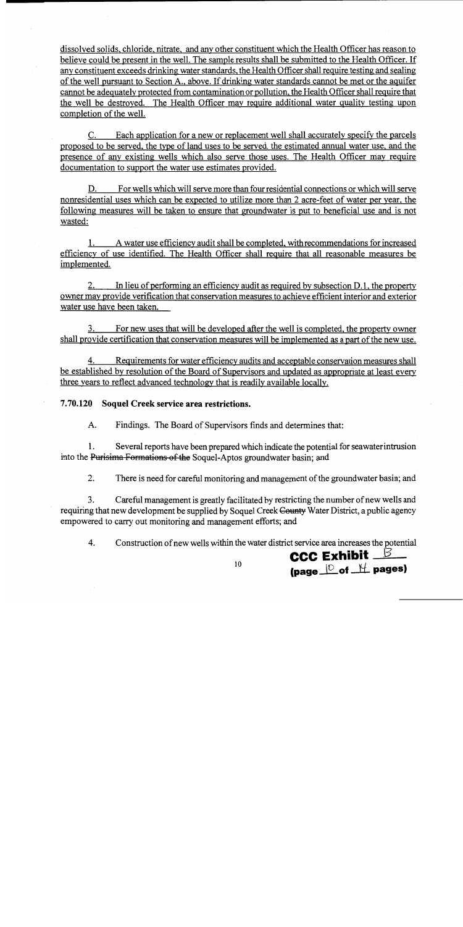dissolved solids, chloride, nitrate, and any other constituent which the Health Officer has reason to believe could be present in the well. The sample results shall be submitted to the Health Officer. If any constituent exceeds drinking water standards, the Health Officer shall require testing and sealing of the well pursuant to Section A., above. If drinking water standards cannot be met or the aquifer cannot be adequately protected from contamination or pollution, the Health Officer shall require that the well be destroyed. The Health Officer may require additional water quality testing upon completion of the well.

C. Each application for a new or replacement well shall accurately specify the parcels proposed to be served, the type of land uses to be served, the estimated annual water use, and the presence of any existing wells which also serve those uses. The Health Officer may require documentation to support the water use estimates provided.

For wells which will serve more than four residential connections or which will serve D. nonresidential uses which can be expected to utilize more than 2 acre-feet of water per year, the following measures will be taken to ensure that groundwater is put to beneficial use and is not wasted:

A water use efficiency audit shall be completed, with recommendations for increased 1. efficiency of use identified. The Health Officer shall require that all reasonable measures be implemented.

2. In lieu of performing an efficiency audit as required by subsection D.1, the property owner may provide verification that conservation measures to achieve efficient interior and exterior water use have been taken.

3. For new uses that will be developed after the well is completed, the property owner shall provide certification that conservation measures will be implemented as a part of the new use.

4. Requirements for water efficiency audits and acceptable conservation measures shall be established by resolution of the Board of Supervisors and updated as appropriate at least every three years to reflect advanced technology that is readily available locally.

7.70.120 Soquel Creek service area restrictions.

 $A<sub>1</sub>$ Findings. The Board of Supervisors finds and determines that:

 $\mathbf{1}$ . Several reports have been prepared which indicate the potential for seawater intrusion into the Purisima Formations of the Soquel-Aptos groundwater basin; and

 $2.$ There is need for careful monitoring and management of the groundwater basin; and

 $3<sub>1</sub>$ Careful management is greatly facilitated by restricting the number of new wells and requiring that new development be supplied by Soquel Creek County Water District, a public agency empowered to carry out monitoring and management efforts; and

 $\overline{4}$ . Construction of new wells within the water district service area increases the potential

**CCC Exhibit** <u>B</u> (page  $\Box$  of  $\Box$  pages)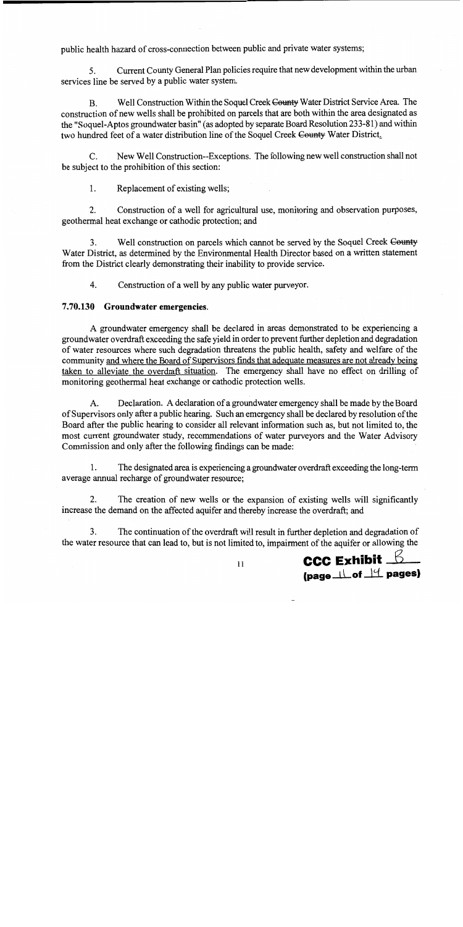public health hazard of cross-connection between public and private water systems;

Current County General Plan policies require that new development within the urban 5. services line be served by a public water system.

Well Construction Within the Soquel Creek County Water District Service Area. The **B.** construction of new wells shall be prohibited on parcels that are both within the area designated as the "Soquel-Aptos groundwater basin" (as adopted by separate Board Resolution 233-81) and within two hundred feet of a water distribution line of the Soquel Creek County Water District.

New Well Construction--Exceptions. The following new well construction shall not  $\mathcal{C}$ be subject to the prohibition of this section:

Replacement of existing wells;  $1<sub>1</sub>$ 

 $2.$ Construction of a well for agricultural use, monitoring and observation purposes, geothermal heat exchange or cathodic protection; and

3. Well construction on parcels which cannot be served by the Soquel Creek County Water District, as determined by the Environmental Health Director based on a written statement from the District clearly demonstrating their inability to provide service.

4. Construction of a well by any public water purveyor.

#### 7.70.130 Groundwater emergencies.

A groundwater emergency shall be declared in areas demonstrated to be experiencing a groundwater overdraft exceeding the safe yield in order to prevent further depletion and degradation of water resources where such degradation threatens the public health, safety and welfare of the community and where the Board of Supervisors finds that adequate measures are not already being taken to alleviate the overdraft situation. The emergency shall have no effect on drilling of monitoring geothermal heat exchange or cathodic protection wells.

A. Declaration. A declaration of a groundwater emergency shall be made by the Board of Supervisors only after a public hearing. Such an emergency shall be declared by resolution of the Board after the public hearing to consider all relevant information such as, but not limited to, the most current groundwater study, recommendations of water purveyors and the Water Advisory Commission and only after the following findings can be made:

1. The designated area is experiencing a groundwater overdraft exceeding the long-term average annual recharge of groundwater resource;

2. The creation of new wells or the expansion of existing wells will significantly increase the demand on the affected aquifer and thereby increase the overdraft; and

 $3<sub>1</sub>$ The continuation of the overdraft will result in further depletion and degradation of the water resource that can lead to, but is not limited to, impairment of the aquifer or allowing the

**CCC Exhibit**  $6$ Ipage  $\Box$  of  $\Box$  pages)

 $11$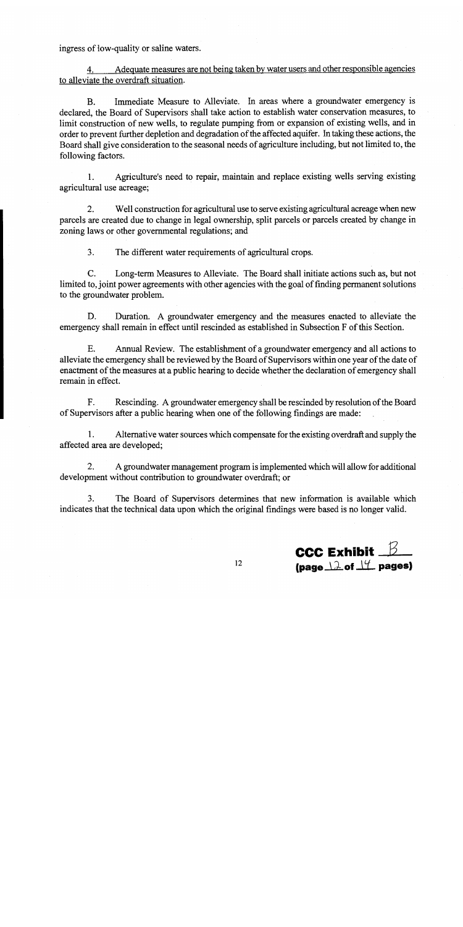ingress of low-quality or saline waters.

Adequate measures are not being taken by water users and other responsible agencies 4. to alleviate the overdraft situation.

Immediate Measure to Alleviate. In areas where a groundwater emergency is  $B<sub>r</sub>$ declared, the Board of Supervisors shall take action to establish water conservation measures, to limit construction of new wells, to regulate pumping from or expansion of existing wells, and in order to prevent further depletion and degradation of the affected aquifer. In taking these actions, the Board shall give consideration to the seasonal needs of agriculture including, but not limited to, the following factors.

 $1<sup>1</sup>$ Agriculture's need to repair, maintain and replace existing wells serving existing agricultural use acreage;

Well construction for agricultural use to serve existing agricultural acreage when new  $2.$ parcels are created due to change in legal ownership, split parcels or parcels created by change in zoning laws or other governmental regulations; and

 $3<sub>1</sub>$ The different water requirements of agricultural crops.

 $C_{\cdot}$ Long-term Measures to Alleviate. The Board shall initiate actions such as, but not limited to, joint power agreements with other agencies with the goal of finding permanent solutions to the groundwater problem.

Duration. A groundwater emergency and the measures enacted to alleviate the D. emergency shall remain in effect until rescinded as established in Subsection F of this Section.

E. Annual Review. The establishment of a groundwater emergency and all actions to alleviate the emergency shall be reviewed by the Board of Supervisors within one year of the date of enactment of the measures at a public hearing to decide whether the declaration of emergency shall remain in effect.

 $\mathbf{F}_{\cdot}$ Rescinding. A groundwater emergency shall be rescinded by resolution of the Board of Supervisors after a public hearing when one of the following findings are made:

 $1.$ Alternative water sources which compensate for the existing overdraft and supply the affected area are developed;

 $2.$ A groundwater management program is implemented which will allow for additional development without contribution to groundwater overdraft; or

 $3<sub>1</sub>$ The Board of Supervisors determines that new information is available which indicates that the technical data upon which the original findings were based is no longer valid.

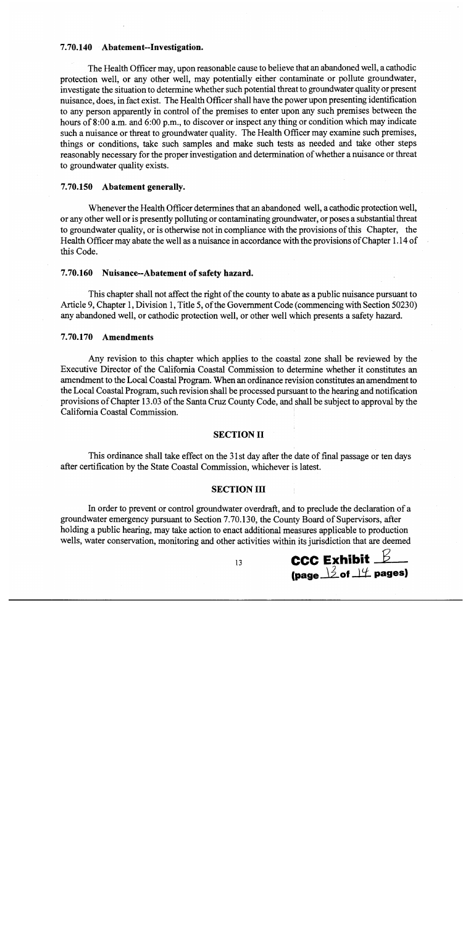# 7.70.140 Abatement--Investigation.

The Health Officer may, upon reasonable cause to believe that an abandoned well, a cathodic protection well, or any other well, may potentially either contaminate or pollute groundwater, investigate the situation to determine whether such potential threat to groundwater quality or present nuisance, does, in fact exist. The Health Officer shall have the power upon presenting identification to any person apparently in control of the premises to enter upon any such premises between the hours of 8:00 a.m. and 6:00 p.m., to discover or inspect any thing or condition which may indicate such a nuisance or threat to groundwater quality. The Health Officer may examine such premises, things or conditions, take such samples and make such tests as needed and take other steps reasonably necessary for the proper investigation and determination of whether a nuisance or threat to groundwater quality exists.

#### 7.70.150 Abatement generally.

Whenever the Health Officer determines that an abandoned well, a cathodic protection well, or any other well or is presently polluting or contaminating groundwater, or poses a substantial threat to groundwater quality, or is otherwise not in compliance with the provisions of this Chapter, the Health Officer may abate the well as a nuisance in accordance with the provisions of Chapter 1.14 of this Code.

## 7.70.160 Nuisance--Abatement of safety hazard.

This chapter shall not affect the right of the county to abate as a public nuisance pursuant to Article 9, Chapter 1, Division 1, Title 5, of the Government Code (commencing with Section 50230) any abandoned well, or cathodic protection well, or other well which presents a safety hazard.

#### **Amendments** 7.70.170

Any revision to this chapter which applies to the coastal zone shall be reviewed by the Executive Director of the California Coastal Commission to determine whether it constitutes an amendment to the Local Coastal Program. When an ordinance revision constitutes an amendment to the Local Coastal Program, such revision shall be processed pursuant to the hearing and notification provisions of Chapter 13.03 of the Santa Cruz County Code, and shall be subject to approval by the California Coastal Commission.

### **SECTION II**

This ordinance shall take effect on the 31st day after the date of final passage or ten days after certification by the State Coastal Commission, whichever is latest.

#### **SECTION III**

In order to prevent or control groundwater overdraft, and to preclude the declaration of a groundwater emergency pursuant to Section 7.70.130, the County Board of Supervisors, after holding a public hearing, may take action to enact additional measures applicable to production wells, water conservation, monitoring and other activities within its jurisdiction that are deemed



13